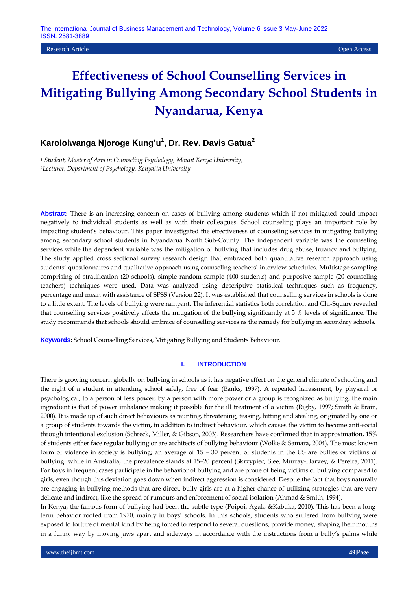**Research Article Open Access Open Access Open Access Open Access Open Access Open Access Open Access Open Access** 

# **Effectiveness of School Counselling Services in Mitigating Bullying Among Secondary School Students in Nyandarua, Kenya**

# **Karololwanga Njoroge Kung'u<sup>1</sup> , Dr. Rev. Davis Gatua<sup>2</sup>**

*<sup>1</sup> Student, Master of Arts in Counseling Psychology, Mount Kenya University, <sup>2</sup>Lecturer, Department of Psychology, Kenyatta University* 

**Abstract:** There is an increasing concern on cases of bullying among students which if not mitigated could impact negatively to individual students as well as with their colleagues. School counseling plays an important role by impacting student's behaviour. This paper investigated the effectiveness of counseling services in mitigating bullying among secondary school students in Nyandarua North Sub-County. The independent variable was the counseling services while the dependent variable was the mitigation of bullying that includes drug abuse, truancy and bullying. The study applied cross sectional survey research design that embraced both quantitative research approach using students' questionnaires and qualitative approach using counseling teachers' interview schedules. Multistage sampling comprising of stratification (20 schools), simple random sample (400 students) and purposive sample (20 counseling teachers) techniques were used. Data was analyzed using descriptive statistical techniques such as frequency, percentage and mean with assistance of SPSS (Version 22). It was established that counselling services in schools is done to a little extent. The levels of bullying were rampant. The inferential statistics both correlation and Chi-Square revealed that counselling services positively affects the mitigation of the bullying significantly at 5 % levels of significance. The study recommends that schools should embrace of counselling services as the remedy for bullying in secondary schools.

**Keywords:** School Counselling Services, Mitigating Bullying and Students Behaviour.

#### **I. INTRODUCTION**

There is growing concern globally on bullying in schools as it has negative effect on the general climate of schooling and the right of a student in attending school safely, free of fear (Banks, 1997). A repeated harassment, by physical or psychological, to a person of less power, by a person with more power or a group is recognized as bullying, the main ingredient is that of power imbalance making it possible for the ill treatment of a victim (Rigby, 1997; Smith & Brain, 2000). It is made up of such direct behaviours as taunting, threatening, teasing, hitting and stealing, originated by one or a group of students towards the victim**,** in addition to indirect behaviour, which causes the victim to become anti-social through intentional exclusion (Schreck, Miller, & Gibson, 2003). Researchers have confirmed that in approximation, 15% of students either face regular bullying or are architects of bullying behaviour (Wolke & Samara, 2004). The most known form of violence in society is bullying; an average of 15 – 30 percent of students in the US are bullies or victims of bullying while in Australia, the prevalence stands at 15–20 percent (Skrzypiec, Slee, Murray-Harvey, & Pereira, 2011). For boys in frequent cases participate in the behavior of bullying and are prone of being victims of bullying compared to girls, even though this deviation goes down when indirect aggression is considered. Despite the fact that boys naturally are engaging in bullying methods that are direct, bully girls are at a higher chance of utilizing strategies that are very delicate and indirect, like the spread of rumours and enforcement of social isolation (Ahmad & Smith, 1994).

In Kenya, the famous form of bullying had been the subtle type (Poipoi, Agak, &Kabuka, 2010). This has been a longterm behavior rooted from 1970, mainly in boys' schools. In this schools, students who suffered from bullying were exposed to torture of mental kind by being forced to respond to several questions, provide money, shaping their mouths in a funny way by moving jaws apart and sideways in accordance with the instructions from a bully's palms while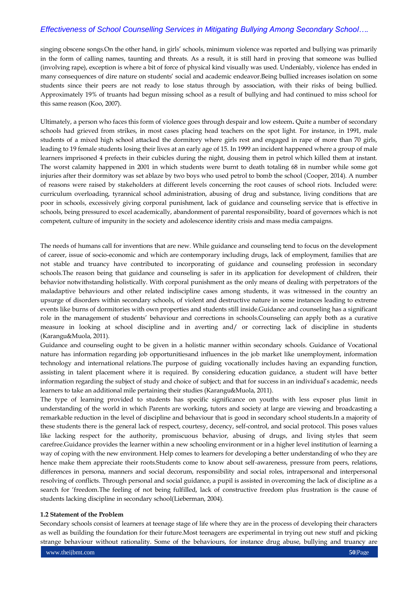singing obscene songs.On the other hand, in girls' schools, minimum violence was reported and bullying was primarily in the form of calling names, taunting and threats. As a result, it is still hard in proving that someone was bullied (involving rape), exception is where a bit of force of physical kind visually was used. Undeniably, violence has ended in many consequences of dire nature on students' social and academic endeavor.Being bullied increases isolation on some students since their peers are not ready to lose status through by association, with their risks of being bullied. Approximately 19% of truants had begun missing school as a result of bullying and had continued to miss school for this same reason (Koo, 2007).

Ultimately, a person who faces this form of violence goes through despair and low esteem**.** Quite a number of secondary schools had grieved from strikes, in most cases placing head teachers on the spot light. For instance, in 1991, male students of a mixed high school attacked the dormitory where girls rest and engaged in rape of more than 70 girls, leading to 19 female students losing their lives at an early age of 15. In 1999 an incident happened where a group of male learners imprisoned 4 prefects in their cubicles during the night, dousing them in petrol which killed them at instant. The worst calamity happened in 2001 in which students were burnt to death totaling 68 in number while some got injuries after their dormitory was set ablaze by two boys who used petrol to bomb the school (Cooper, 2014). A number of reasons were raised by stakeholders at different levels concerning the root causes of school riots. Included were: curriculum overloading, tyrannical school administration, abusing of drug and substance, living conditions that are poor in schools, excessively giving corporal punishment, lack of guidance and counseling service that is effective in schools, being pressured to excel academically, abandonment of parental responsibility, board of governors which is not competent, culture of impunity in the society and adolescence identity crisis and mass media campaigns.

The needs of humans call for inventions that are new. While guidance and counseling tend to focus on the development of career, issue of socio-economic and which are contemporary including drugs, lack of employment, families that are not stable and truancy have contributed to incorporating of guidance and counseling profession in secondary schools.The reason being that guidance and counseling is safer in its application for development of children, their behavior notwithstanding holistically. With corporal punishment as the only means of dealing with perpetrators of the maladaptive behaviours and other related indiscipline cases among students, it was witnessed in the country an upsurge of disorders within secondary schools, of violent and destructive nature in some instances leading to extreme events like burns of dormitories with own properties and students still inside.Guidance and counseling has a significant role in the management of students' behaviour and corrections in schools.Counseling can apply both as a curative measure in looking at school discipline and in averting and/ or correcting lack of discipline in students (Karangu&Muola, 2011).

Guidance and counseling ought to be given in a holistic manner within secondary schools. Guidance of Vocational nature has information regarding job opportunitiesand influences in the job market like unemployment, information technology and international relations.The purpose of guiding vocationally includes having an expanding function, assisting in talent placement where it is required. By considering education guidance, a student will have better information regarding the subject of study and choice of subject; and that for success in an individual's academic, needs learners to take an additional mile pertaining their studies (Karangu&Muola, 2011).

The type of learning provided to students has specific significance on youths with less exposer plus limit in understanding of the world in which Parents are working, tutors and society at large are viewing and broadcasting a remarkable reduction in the level of discipline and behaviour that is good in secondary school students.In a majority of these students there is the general lack of respect, courtesy, decency, self-control, and social protocol. This poses values like lacking respect for the authority, promiscuous behavior, abusing of drugs, and living styles that seem carefree.Guidance provides the learner within a new schooling environment or in a higher level institution of learning a way of coping with the new environment. Help comes to learners for developing a better understanding of who they are hence make them appreciate their roots.Students come to know about self-awareness, pressure from peers, relations, differences in persona, manners and social decorum, responsibility and social roles, intrapersonal and interpersonal resolving of conflicts. Through personal and social guidance, a pupil is assisted in overcoming the lack of discipline as a search for 'freedom.The feeling of not being fulfilled, lack of constructive freedom plus frustration is the cause of students lacking discipline in secondary school(Lieberman, 2004).

#### **1.2 Statement of the Problem**

Secondary schools consist of learners at teenage stage of life where they are in the process of developing their characters as well as building the foundation for their future.Most teenagers are experimental in trying out new stuff and picking strange behaviour without rationality. Some of the behaviours, for instance drug abuse, bullying and truancy are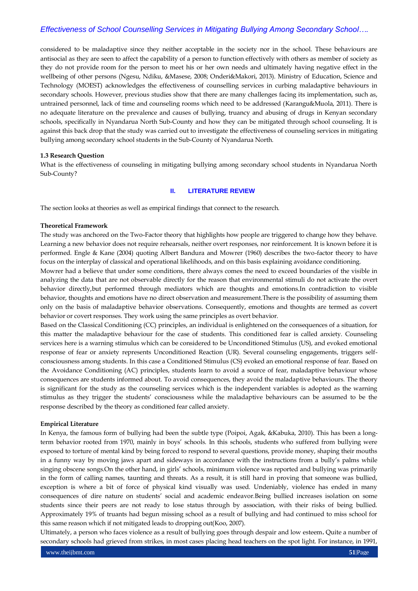considered to be maladaptive since they neither acceptable in the society nor in the school. These behaviours are antisocial as they are seen to affect the capability of a person to function effectively with others as member of society as they do not provide room for the person to meet his or her own needs and ultimately having negative effect in the wellbeing of other persons (Ngesu, Ndiku, &Masese, 2008; Onderi&Makori, 2013). Ministry of Education, Science and Technology (MOEST) acknowledges the effectiveness of counselling services in curbing maladaptive behaviours in secondary schools. However, previous studies show that there are many challenges facing its implementation, such as, untrained personnel, lack of time and counseling rooms which need to be addressed (Karangu&Muola, 2011). There is no adequate literature on the prevalence and causes of bullying, truancy and abusing of drugs in Kenyan secondary schools, specifically in Nyandarua North Sub-County and how they can be mitigated through school counseling. It is against this back drop that the study was carried out to investigate the effectiveness of counseling services in mitigating bullying among secondary school students in the Sub-County of Nyandarua North.

#### **1.3 Research Question**

What is the effectiveness of counseling in mitigating bullying among secondary school students in Nyandarua North Sub-County?

#### **II. LITERATURE REVIEW**

The section looks at theories as well as empirical findings that connect to the research.

#### **Theoretical Framework**

The study was anchored on the Two-Factor theory that highlights how people are triggered to change how they behave. Learning a new behavior does not require rehearsals, neither overt responses, nor reinforcement. It is known before it is performed. Engle & Kane (2004) quoting Albert Bandura and Mowrer (1960) describes the two-factor theory to have focus on the interplay of classical and operational likelihoods, and on this basis explaining avoidance conditioning.

Mowrer had a believe that under some conditions, there always comes the need to exceed boundaries of the visible in analyzing the data that are not observable directly for the reason that environmental stimuli do not activate the overt behavior directly,but performed through mediators which are thoughts and emotions.In contradiction to visible behavior, thoughts and emotions have no direct observation and measurement.There is the possibility of assuming them only on the basis of maladaptive behavior observations. Consequently, emotions and thoughts are termed as covert behavior or covert responses. They work using the same principles as overt behavior.

Based on the Classical Conditioning (CC) principles, an individual is enlightened on the consequences of a situation, for this matter the maladaptive behaviour for the case of students. This conditioned fear is called anxiety. Counseling services here is a warning stimulus which can be considered to be Unconditioned Stimulus (US), and evoked emotional response of fear or anxiety represents Unconditioned Reaction (UR). Several counseling engagements, triggers selfconsciousness among students. In this case a Conditioned Stimulus (CS) evoked an emotional response of fear. Based on the Avoidance Conditioning (AC) principles, students learn to avoid a source of fear, maladaptive behaviour whose consequences are students informed about. To avoid consequences, they avoid the maladaptive behaviours. The theory is significant for the study as the counseling services which is the independent variables is adopted as the warning stimulus as they trigger the students' consciousness while the maladaptive behaviours can be assumed to be the response described by the theory as conditioned fear called anxiety.

#### **Empirical Literature**

In Kenya, the famous form of bullying had been the subtle type (Poipoi, Agak, &Kabuka, 2010). This has been a longterm behavior rooted from 1970, mainly in boys' schools. In this schools, students who suffered from bullying were exposed to torture of mental kind by being forced to respond to several questions, provide money, shaping their mouths in a funny way by moving jaws apart and sideways in accordance with the instructions from a bully's palms while singing obscene songs.On the other hand, in girls' schools, minimum violence was reported and bullying was primarily in the form of calling names, taunting and threats. As a result, it is still hard in proving that someone was bullied, exception is where a bit of force of physical kind visually was used. Undeniably, violence has ended in many consequences of dire nature on students' social and academic endeavor.Being bullied increases isolation on some students since their peers are not ready to lose status through by association, with their risks of being bullied. Approximately 19% of truants had begun missing school as a result of bullying and had continued to miss school for this same reason which if not mitigated leads to dropping out(Koo, 2007).

Ultimately, a person who faces violence as a result of bullying goes through despair and low esteem**.** Quite a number of secondary schools had grieved from strikes, in most cases placing head teachers on the spot light. For instance, in 1991,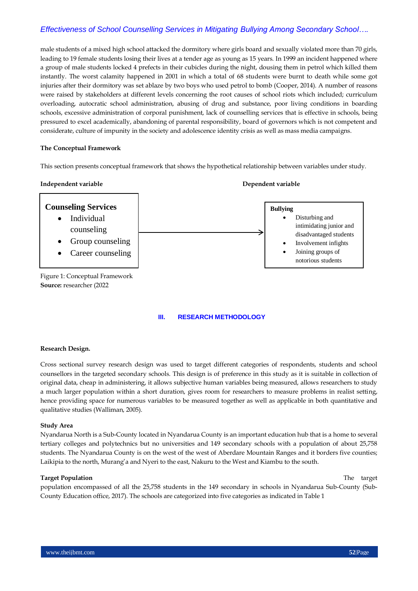male students of a mixed high school attacked the dormitory where girls board and sexually violated more than 70 girls, leading to 19 female students losing their lives at a tender age as young as 15 years. In 1999 an incident happened where a group of male students locked 4 prefects in their cubicles during the night, dousing them in petrol which killed them instantly. The worst calamity happened in 2001 in which a total of 68 students were burnt to death while some got injuries after their dormitory was set ablaze by two boys who used petrol to bomb (Cooper, 2014). A number of reasons were raised by stakeholders at different levels concerning the root causes of school riots which included; curriculum overloading, autocratic school administration, abusing of drug and substance, poor living conditions in boarding schools, excessive administration of corporal punishment, lack of counselling services that is effective in schools, being pressured to excel academically, abandoning of parental responsibility, board of governors which is not competent and considerate, culture of impunity in the society and adolescence identity crisis as well as mass media campaigns.

#### **The Conceptual Framework**

This section presents conceptual framework that shows the hypothetical relationship between variables under study.

#### **Independent variable Dependent variable**



Figure 1: Conceptual Framework **Source:** researcher (2022

#### **III. RESEARCH METHODOLOGY**

#### **Research Design.**

Cross sectional survey research design was used to target different categories of respondents, students and school counsellors in the targeted secondary schools. This design is of preference in this study as it is suitable in collection of original data, cheap in administering, it allows subjective human variables being measured, allows researchers to study a much larger population within a short duration, gives room for researchers to measure problems in realist setting, hence providing space for numerous variables to be measured together as well as applicable in both quantitative and qualitative studies (Walliman, 2005).

#### **Study Area**

Nyandarua North is a Sub-County located in Nyandarua County is an important education hub that is a home to several tertiary colleges and polytechnics but no universities and 149 secondary schools with a population of about 25,758 students. The Nyandarua County is on the west of the west of Aberdare Mountain Ranges and it borders five counties; Laikipia to the north, Murang'a and Nyeri to the east, Nakuru to the West and Kiambu to the south.

#### **Target Population** The target

population encompassed of all the 25,758 students in the 149 secondary in schools in Nyandarua Sub-County (Sub-County Education office, 2017). The schools are categorized into five categories as indicated in Table 1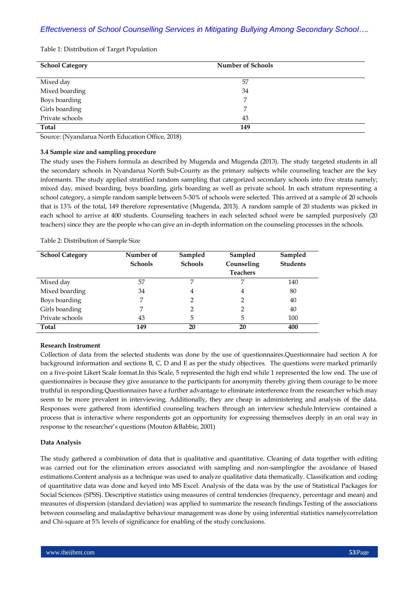Table 1: Distribution of Target Population

| <b>School Category</b> | <b>Number of Schools</b> |
|------------------------|--------------------------|
| Mixed day              | 57                       |
| Mixed boarding         | 34                       |
| Boys boarding          |                          |
| Girls boarding         | 7                        |
| Private schools        | 43                       |
| Total                  | 149                      |

Source: (Nyandarua North Education Office, 2018)

#### **3.4 Sample size and sampling procedure**

The study uses the Fishers formula as described by Mugenda and Mugenda (2013). The study targeted students in all the secondary schools in Nyandarua North Sub-County as the primary subjects while counseling teacher are the key informants. The study applied stratified random sampling that categorized secondary schools into five strata namely; mixed day, mixed boarding, boys boarding, girls boarding as well as private school. In each stratum representing a school category, a simple random sample between 5-30% of schools were selected. This arrived at a sample of 20 schools that is 13% of the total, 149 therefore representative (Mugenda, 2013). A random sample of 20 students was picked in each school to arrive at 400 students. Counseling teachers in each selected school were be sampled purposively (20 teachers) since they are the people who can give an in-depth information on the counseling processes in the schools.

| <b>School Category</b> | Number of      | Sampled        | Sampled         | Sampled         |
|------------------------|----------------|----------------|-----------------|-----------------|
|                        | <b>Schools</b> | <b>Schools</b> | Counseling      | <b>Students</b> |
|                        |                |                | <b>Teachers</b> |                 |
| Mixed day              | 57             | 7              | 7               | 140             |
| Mixed boarding         | 34             | 4              | 4               | 80              |
| Boys boarding          | 7              | 2              | 2               | 40              |
| Girls boarding         |                | $\mathcal{P}$  | 2               | 40              |
| Private schools        | 43             | 5              | 5               | 100             |
| <b>Total</b>           | 149            | 20             | 20              | 400             |

Table 2: Distribution of Sample Size

### **Research Instrument**

Collection of data from the selected students was done by the use of questionnaires.Questionnaire had section A for background information and sections B, C, D and E as per the study objectives. The questions were marked primarily on a five-point Likert Scale format.In this Scale, 5 represented the high end while 1 represented the low end. The use of questionnaires is because they give assurance to the participants for anonymity thereby giving them courage to be more truthful in responding.Questionnaires have a further advantage to eliminate interference from the researcher which may seem to be more prevalent in interviewing. Additionally, they are cheap in administering and analysis of the data. Responses were gathered from identified counseling teachers through an interview schedule.Interview contained a process that is interactive where respondents got an opportunity for expressing themselves deeply in an oral way in response to the researcher's questions (Mouton &Babbie, 2001)

#### **Data Analysis**

The study gathered a combination of data that is qualitative and quantitative. Cleaning of data together with editing was carried out for the elimination errors associated with sampling and non-samplingfor the avoidance of biased estimations.Content analysis as a technique was used to analyze qualitative data thematically. Classification and coding of quantitative data was done and keyed into MS Excel. Analysis of the data was by the use of Statistical Packages for Social Sciences (SPSS). Descriptive statistics using measures of central tendencies (frequency, percentage and mean) and measures of dispersion (standard deviation) was applied to summarize the research findings.Testing of the associations between counseling and maladaptive behaviour management was done by using inferential statistics namelycorrelation and Chi-square at 5% levels of significance for enabling of the study conclusions.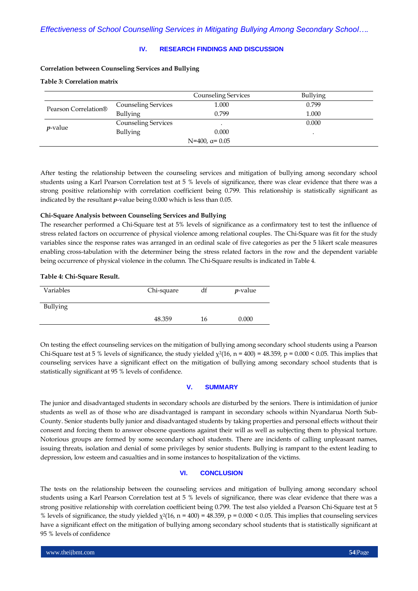#### **IV. RESEARCH FINDINGS AND DISCUSSION**

#### **Correlation between Counseling Services and Bullying**

### **Table 3: Correlation matrix**

|                                  |                            | <b>Counseling Services</b> | <b>Bullying</b> |  |
|----------------------------------|----------------------------|----------------------------|-----------------|--|
| Pearson Correlation <sup>®</sup> | <b>Counseling Services</b> | 1.000                      | 0.799           |  |
|                                  | <b>Bullying</b>            | 0.799                      | 1.000           |  |
| <i>p</i> -value                  | <b>Counseling Services</b> |                            | 0.000           |  |
|                                  | Bullying                   | 0.000                      |                 |  |
| $N=400$ , $\alpha=0.05$          |                            |                            |                 |  |

After testing the relationship between the counseling services and mitigation of bullying among secondary school students using a Karl Pearson Correlation test at 5 % levels of significance, there was clear evidence that there was a strong positive relationship with correlation coefficient being 0.799. This relationship is statistically significant as indicated by the resultant *p*-value being 0.000 which is less than 0.05.

#### **Chi-Square Analysis between Counseling Services and Bullying**

The researcher performed a Chi-Square test at 5% levels of significance as a confirmatory test to test the influence of stress related factors on occurrence of physical violence among relational couples. The Chi-Square was fit for the study variables since the response rates was arranged in an ordinal scale of five categories as per the 5 likert scale measures enabling cross-tabulation with the determiner being the stress related factors in the row and the dependent variable being occurrence of physical violence in the column. The Chi-Square results is indicated in Table 4.

#### **Table 4: Chi-Square Result.**

| Variables | Chi-square | df | $p$ -value |
|-----------|------------|----|------------|
| Bullying  |            |    |            |
|           | 48.359     | 16 | 0.000      |

On testing the effect counseling services on the mitigation of bullying among secondary school students using a Pearson Chi-Square test at 5 % levels of significance, the study yielded  $\chi^2(16, n = 400) = 48.359$ ,  $p = 0.000 < 0.05$ . This implies that counseling services have a significant effect on the mitigation of bullying among secondary school students that is statistically significant at 95 % levels of confidence.

#### **V. SUMMARY**

The junior and disadvantaged students in secondary schools are disturbed by the seniors. There is intimidation of junior students as well as of those who are disadvantaged is rampant in secondary schools within Nyandarua North Sub-County. Senior students bully junior and disadvantaged students by taking properties and personal effects without their consent and forcing them to answer obscene questions against their will as well as subjecting them to physical torture. Notorious groups are formed by some secondary school students. There are incidents of calling unpleasant names, issuing threats, isolation and denial of some privileges by senior students. Bullying is rampant to the extent leading to depression, low esteem and casualties and in some instances to hospitalization of the victims.

### **VI. CONCLUSION**

The tests on the relationship between the counseling services and mitigation of bullying among secondary school students using a Karl Pearson Correlation test at 5 % levels of significance, there was clear evidence that there was a strong positive relationship with correlation coefficient being 0.799. The test also yielded a Pearson Chi-Square test at 5 % levels of significance, the study yielded  $\chi^2(16, n = 400) = 48.359$ ,  $p = 0.000 < 0.05$ . This implies that counseling services have a significant effect on the mitigation of bullying among secondary school students that is statistically significant at 95 % levels of confidence